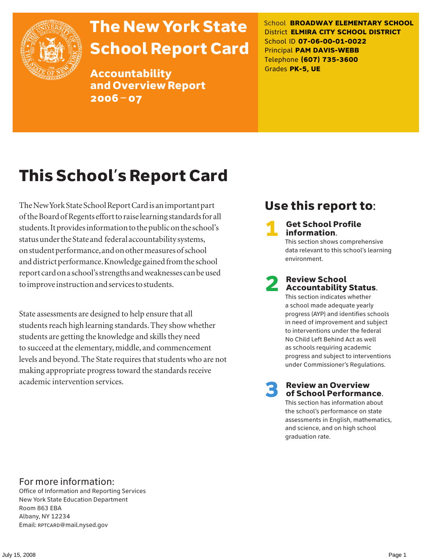

# The New York State School Report Card

Accountability and Overview Report 2006–07

School **BROADWAY ELEMENTARY SCHOOL** District **ELMIRA CITY SCHOOL DISTRICT** School ID **07-06-00-01-0022** Principal **PAM DAVIS-WEBB** Telephone **(607) 735-3600** Grades **PK-5, UE**

# This School's Report Card

The New York State School Report Card is an important part of the Board of Regents effort to raise learning standards for all students. It provides information to the public on the school's status under the State and federal accountability systems, on student performance, and on other measures of school and district performance. Knowledge gained from the school report card on a school's strengths and weaknesses can be used to improve instruction and services to students.

State assessments are designed to help ensure that all students reach high learning standards. They show whether students are getting the knowledge and skills they need to succeed at the elementary, middle, and commencement levels and beyond. The State requires that students who are not making appropriate progress toward the standards receive academic intervention services.

## Use this report to:

**Get School Profile** information.

This section shows comprehensive data relevant to this school's learning environment.

# 2 Review School Accountability Status.

This section indicates whether a school made adequate yearly progress (AYP) and identifies schools in need of improvement and subject to interventions under the federal No Child Left Behind Act as well as schools requiring academic progress and subject to interventions under Commissioner's Regulations.

**Review an Overview** of School Performance.

This section has information about the school's performance on state assessments in English, mathematics, and science, and on high school graduation rate.

### For more information:

Office of Information and Reporting Services New York State Education Department Room 863 EBA Albany, NY 12234 Email: RPTCARD@mail.nysed.gov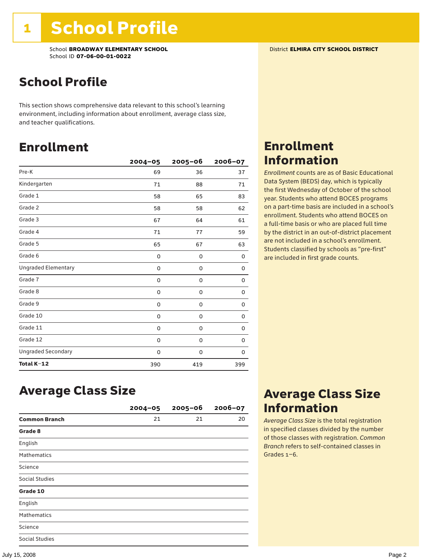## School Profile

This section shows comprehensive data relevant to this school's learning environment, including information about enrollment, average class size, and teacher qualifications.

### Enrollment

|                            | $2004 - 05$ | $2005 - 06$ | 2006-07 |
|----------------------------|-------------|-------------|---------|
| Pre-K                      | 69          | 36          | 37      |
| Kindergarten               | 71          | 88          | 71      |
| Grade 1                    | 58          | 65          | 83      |
| Grade 2                    | 58          | 58          | 62      |
| Grade 3                    | 67          | 64          | 61      |
| Grade 4                    | 71          | 77          | 59      |
| Grade 5                    | 65          | 67          | 63      |
| Grade 6                    | 0           | 0           | 0       |
| <b>Ungraded Elementary</b> | 0           | $\mathbf 0$ | 0       |
| Grade 7                    | 0           | $\mathbf 0$ | 0       |
| Grade 8                    | 0           | 0           | 0       |
| Grade 9                    | 0           | 0           | 0       |
| Grade 10                   | 0           | 0           | 0       |
| Grade 11                   | 0           | 0           | 0       |
| Grade 12                   | 0           | 0           | 0       |
| <b>Ungraded Secondary</b>  | 0           | 0           | 0       |
| Total K-12                 | 390         | 419         | 399     |

## Enrollment Information

*Enrollment* counts are as of Basic Educational Data System (BEDS) day, which is typically the first Wednesday of October of the school year. Students who attend BOCES programs on a part-time basis are included in a school's enrollment. Students who attend BOCES on a full-time basis or who are placed full time by the district in an out-of-district placement are not included in a school's enrollment. Students classified by schools as "pre-first" are included in first grade counts.

### Average Class Size

|                       | $2004 - 05$ | $2005 - 06$ | $2006 - 07$ |
|-----------------------|-------------|-------------|-------------|
| <b>Common Branch</b>  | 21          | 21          | 20          |
| Grade 8               |             |             |             |
| English               |             |             |             |
| <b>Mathematics</b>    |             |             |             |
| Science               |             |             |             |
| <b>Social Studies</b> |             |             |             |
| Grade 10              |             |             |             |
| English               |             |             |             |
| <b>Mathematics</b>    |             |             |             |
| Science               |             |             |             |
| <b>Social Studies</b> |             |             |             |

### Average Class Size Information

*Average Class Size* is the total registration in specified classes divided by the number of those classes with registration. *Common Branch* refers to self-contained classes in Grades 1–6.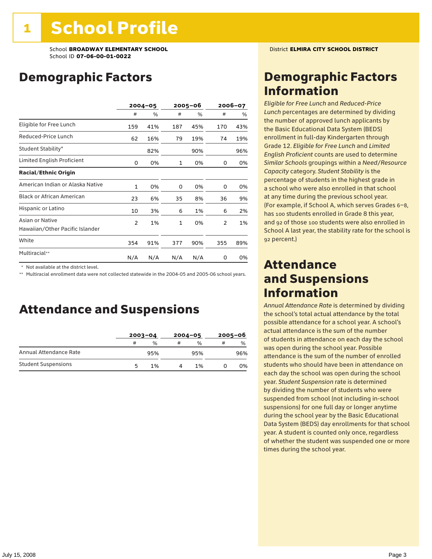## Demographic Factors

|                                                    |     | $2004 - 05$ |              | 2005-06 |                | 2006-07 |  |
|----------------------------------------------------|-----|-------------|--------------|---------|----------------|---------|--|
|                                                    | #   | %           | #            | %       | #              | %       |  |
| Eligible for Free Lunch                            | 159 | 41%         | 187          | 45%     | 170            | 43%     |  |
| Reduced-Price Lunch                                | 62  | 16%         | 79           | 19%     | 74             | 19%     |  |
| Student Stability*                                 |     | 82%         |              | 90%     |                | 96%     |  |
| Limited English Proficient                         | 0   | 0%          | 1            | 0%      | 0              | 0%      |  |
| <b>Racial/Ethnic Origin</b>                        |     |             |              |         |                |         |  |
| American Indian or Alaska Native                   | 1   | 0%          | 0            | 0%      | 0              | 0%      |  |
| <b>Black or African American</b>                   | 23  | 6%          | 35           | 8%      | 36             | 9%      |  |
| Hispanic or Latino                                 | 10  | 3%          | 6            | 1%      | 6              | 2%      |  |
| Asian or Native<br>Hawaiian/Other Pacific Islander | 2   | 1%          | $\mathbf{1}$ | 0%      | $\overline{2}$ | 1%      |  |
| White                                              | 354 | 91%         | 377          | 90%     | 355            | 89%     |  |
| Multiracial**                                      | N/A | N/A         | N/A          | N/A     | 0              | 0%      |  |

\* Not available at the district level.

\*\* Multiracial enrollment data were not collected statewide in the 2004-05 and 2005-06 school years.

### Attendance and Suspensions

|                            |   | $2003 - 04$ |   | $2004 - 05$   |   | $2005 - 06$ |  |
|----------------------------|---|-------------|---|---------------|---|-------------|--|
|                            | # | $\%$        | # | $\frac{1}{2}$ | # | $\%$        |  |
| Annual Attendance Rate     |   | 95%         |   | 95%           |   | 96%         |  |
| <b>Student Suspensions</b> | 5 | 1%          |   | 1%            |   | 0%          |  |

### Demographic Factors Information

*Eligible for Free Lunch* and *Reduced*-*Price Lunch* percentages are determined by dividing the number of approved lunch applicants by the Basic Educational Data System (BEDS) enrollment in full-day Kindergarten through Grade 12. *Eligible for Free Lunch* and *Limited English Proficient* counts are used to determine *Similar Schools* groupings within a *Need*/*Resource Capacity* category. *Student Stability* is the percentage of students in the highest grade in a school who were also enrolled in that school at any time during the previous school year. (For example, if School A, which serves Grades 6–8, has 100 students enrolled in Grade 8 this year, and 92 of those 100 students were also enrolled in School A last year, the stability rate for the school is 92 percent.)

### Attendance and Suspensions Information

*Annual Attendance Rate* is determined by dividing the school's total actual attendance by the total possible attendance for a school year. A school's actual attendance is the sum of the number of students in attendance on each day the school was open during the school year. Possible attendance is the sum of the number of enrolled students who should have been in attendance on each day the school was open during the school year. *Student Suspension* rate is determined by dividing the number of students who were suspended from school (not including in-school suspensions) for one full day or longer anytime during the school year by the Basic Educational Data System (BEDS) day enrollments for that school year. A student is counted only once, regardless of whether the student was suspended one or more times during the school year.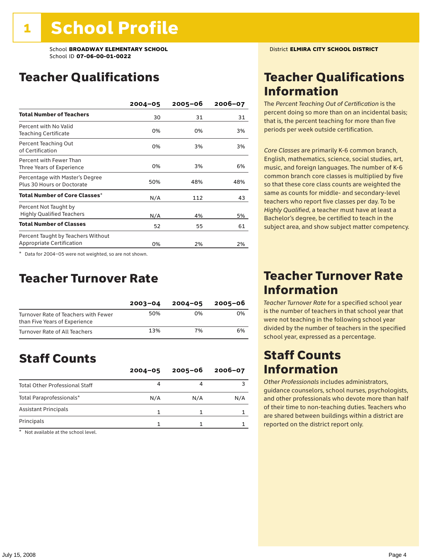### Teacher Qualifications

|                                                                        | $2004 - 05$ | $2005 - 06$ | 2006-07 |
|------------------------------------------------------------------------|-------------|-------------|---------|
| <b>Total Number of Teachers</b>                                        | 30          | 31          | 31      |
| Percent with No Valid<br><b>Teaching Certificate</b>                   | 0%          | 0%          | 3%      |
| Percent Teaching Out<br>of Certification                               | 0%          | 3%          | 3%      |
| Percent with Fewer Than<br>Three Years of Experience                   | 0%          | 3%          | 6%      |
| Percentage with Master's Degree<br>Plus 30 Hours or Doctorate          | 50%         | 48%         | 48%     |
| Total Number of Core Classes <sup>*</sup>                              | N/A         | 112         | 43      |
| Percent Not Taught by<br><b>Highly Qualified Teachers</b>              | N/A         | 4%          | 5%      |
| <b>Total Number of Classes</b>                                         | 52          | 55          | 61      |
| Percent Taught by Teachers Without<br><b>Appropriate Certification</b> | 0%          | 2%          | 2%      |

\* Data for 2004–05 were not weighted, so are not shown.

### Teacher Turnover Rate

|                                                                       | $2003 - 04$ | $2004 - 05$ | 2005-06 |
|-----------------------------------------------------------------------|-------------|-------------|---------|
| Turnover Rate of Teachers with Fewer<br>than Five Years of Experience | 50%         | በ%          | በ%      |
| Turnover Rate of All Teachers                                         | 13%         | 7%          | 6%      |

## Staff Counts

|                                       | $2004 - 05$ | $2005 - 06$ | $2006 - 07$ |
|---------------------------------------|-------------|-------------|-------------|
| <b>Total Other Professional Staff</b> |             |             |             |
| Total Paraprofessionals*              | N/A         | N/A         | N/A         |
| <b>Assistant Principals</b>           |             |             |             |
| Principals                            |             |             |             |

\* Not available at the school level.

### Teacher Qualifications Information

The *Percent Teaching Out of Certification* is the percent doing so more than on an incidental basis; that is, the percent teaching for more than five periods per week outside certification.

*Core Classes* are primarily K-6 common branch, English, mathematics, science, social studies, art, music, and foreign languages. The number of K-6 common branch core classes is multiplied by five so that these core class counts are weighted the same as counts for middle- and secondary-level teachers who report five classes per day. To be *Highly Qualified*, a teacher must have at least a Bachelor's degree, be certified to teach in the subject area, and show subject matter competency.

### Teacher Turnover Rate Information

*Teacher Turnover Rate* for a specified school year is the number of teachers in that school year that were not teaching in the following school year divided by the number of teachers in the specified school year, expressed as a percentage.

### Staff Counts Information

*Other Professionals* includes administrators, guidance counselors, school nurses, psychologists, and other professionals who devote more than half of their time to non-teaching duties. Teachers who are shared between buildings within a district are reported on the district report only.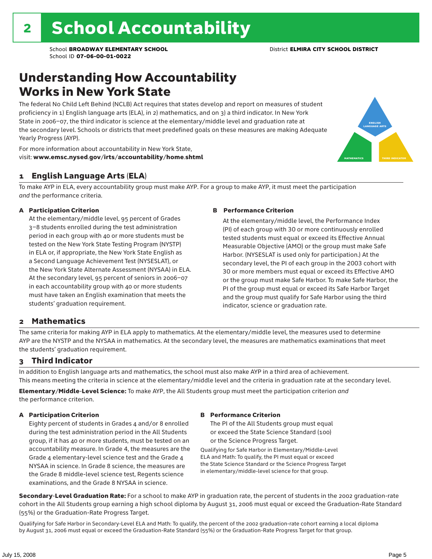## Understanding How Accountability Works in New York State

The federal No Child Left Behind (NCLB) Act requires that states develop and report on measures of student proficiency in 1) English language arts (ELA), in 2) mathematics, and on 3) a third indicator. In New York State in 2006–07, the third indicator is science at the elementary/middle level and graduation rate at the secondary level. Schools or districts that meet predefined goals on these measures are making Adequate Yearly Progress (AYP).



For more information about accountability in New York State, visit: www.emsc.nysed.gov/irts/accountability/home.shtml

#### 1 English Language Arts (ELA)

To make AYP in ELA, every accountability group must make AYP. For a group to make AYP, it must meet the participation *and* the performance criteria.

#### A Participation Criterion

At the elementary/middle level, 95 percent of Grades 3–8 students enrolled during the test administration period in each group with 40 or more students must be tested on the New York State Testing Program (NYSTP) in ELA or, if appropriate, the New York State English as a Second Language Achievement Test (NYSESLAT), or the New York State Alternate Assessment (NYSAA) in ELA. At the secondary level, 95 percent of seniors in 2006–07 in each accountability group with 40 or more students must have taken an English examination that meets the students' graduation requirement.

#### B Performance Criterion

At the elementary/middle level, the Performance Index (PI) of each group with 30 or more continuously enrolled tested students must equal or exceed its Effective Annual Measurable Objective (AMO) or the group must make Safe Harbor. (NYSESLAT is used only for participation.) At the secondary level, the PI of each group in the 2003 cohort with 30 or more members must equal or exceed its Effective AMO or the group must make Safe Harbor. To make Safe Harbor, the PI of the group must equal or exceed its Safe Harbor Target and the group must qualify for Safe Harbor using the third indicator, science or graduation rate.

#### 2 Mathematics

The same criteria for making AYP in ELA apply to mathematics. At the elementary/middle level, the measures used to determine AYP are the NYSTP and the NYSAA in mathematics. At the secondary level, the measures are mathematics examinations that meet the students' graduation requirement.

#### 3 Third Indicator

In addition to English language arts and mathematics, the school must also make AYP in a third area of achievement. This means meeting the criteria in science at the elementary/middle level and the criteria in graduation rate at the secondary level.

Elementary/Middle-Level Science: To make AYP, the All Students group must meet the participation criterion *and* the performance criterion.

#### A Participation Criterion

Eighty percent of students in Grades 4 and/or 8 enrolled during the test administration period in the All Students group, if it has 40 or more students, must be tested on an accountability measure. In Grade 4, the measures are the Grade 4 elementary-level science test and the Grade 4 NYSAA in science. In Grade 8 science, the measures are the Grade 8 middle-level science test, Regents science examinations, and the Grade 8 NYSAA in science.

#### B Performance Criterion

The PI of the All Students group must equal or exceed the State Science Standard (100) or the Science Progress Target.

Qualifying for Safe Harbor in Elementary/Middle-Level ELA and Math: To qualify, the PI must equal or exceed the State Science Standard or the Science Progress Target in elementary/middle-level science for that group.

Secondary-Level Graduation Rate: For a school to make AYP in graduation rate, the percent of students in the 2002 graduation-rate cohort in the All Students group earning a high school diploma by August 31, 2006 must equal or exceed the Graduation-Rate Standard (55%) or the Graduation-Rate Progress Target.

Qualifying for Safe Harbor in Secondary-Level ELA and Math: To qualify, the percent of the 2002 graduation-rate cohort earning a local diploma by August 31, 2006 must equal or exceed the Graduation-Rate Standard (55%) or the Graduation-Rate Progress Target for that group.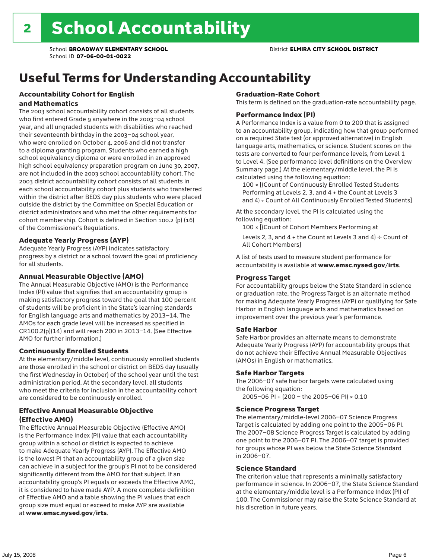# Useful Terms for Understanding Accountability

#### Accountability Cohort for English and Mathematics

The 2003 school accountability cohort consists of all students who first entered Grade 9 anywhere in the 2003–04 school year, and all ungraded students with disabilities who reached their seventeenth birthday in the 2003–04 school year, who were enrolled on October 4, 2006 and did not transfer to a diploma granting program. Students who earned a high school equivalency diploma or were enrolled in an approved high school equivalency preparation program on June 30, 2007, are not included in the 2003 school accountability cohort. The 2003 district accountability cohort consists of all students in each school accountability cohort plus students who transferred within the district after BEDS day plus students who were placed outside the district by the Committee on Special Education or district administrators and who met the other requirements for cohort membership. Cohort is defined in Section 100.2 (p) (16) of the Commissioner's Regulations.

#### Adequate Yearly Progress (AYP)

Adequate Yearly Progress (AYP) indicates satisfactory progress by a district or a school toward the goal of proficiency for all students.

#### Annual Measurable Objective (AMO)

The Annual Measurable Objective (AMO) is the Performance Index (PI) value that signifies that an accountability group is making satisfactory progress toward the goal that 100 percent of students will be proficient in the State's learning standards for English language arts and mathematics by 2013–14. The AMOs for each grade level will be increased as specified in CR100.2(p)(14) and will reach 200 in 2013–14. (See Effective AMO for further information.)

#### Continuously Enrolled Students

At the elementary/middle level, continuously enrolled students are those enrolled in the school or district on BEDS day (usually the first Wednesday in October) of the school year until the test administration period. At the secondary level, all students who meet the criteria for inclusion in the accountability cohort are considered to be continuously enrolled.

#### Effective Annual Measurable Objective (Effective AMO)

The Effective Annual Measurable Objective (Effective AMO) is the Performance Index (PI) value that each accountability group within a school or district is expected to achieve to make Adequate Yearly Progress (AYP). The Effective AMO is the lowest PI that an accountability group of a given size can achieve in a subject for the group's PI not to be considered significantly different from the AMO for that subject. If an accountability group's PI equals or exceeds the Effective AMO, it is considered to have made AYP. A more complete definition of Effective AMO and a table showing the PI values that each group size must equal or exceed to make AYP are available at www.emsc.nysed.gov/irts.

#### Graduation-Rate Cohort

This term is defined on the graduation-rate accountability page.

#### Performance Index (PI)

A Performance Index is a value from 0 to 200 that is assigned to an accountability group, indicating how that group performed on a required State test (or approved alternative) in English language arts, mathematics, or science. Student scores on the tests are converted to four performance levels, from Level 1 to Level 4. (See performance level definitions on the Overview Summary page.) At the elementary/middle level, the PI is calculated using the following equation:

100 × [(Count of Continuously Enrolled Tested Students Performing at Levels 2, 3, and 4 + the Count at Levels 3 and 4) ÷ Count of All Continuously Enrolled Tested Students]

At the secondary level, the PI is calculated using the following equation:

100 × [(Count of Cohort Members Performing at

Levels 2, 3, and 4 + the Count at Levels 3 and 4)  $\div$  Count of All Cohort Members]

A list of tests used to measure student performance for accountability is available at www.emsc.nysed.gov/irts.

#### Progress Target

For accountability groups below the State Standard in science or graduation rate, the Progress Target is an alternate method for making Adequate Yearly Progress (AYP) or qualifying for Safe Harbor in English language arts and mathematics based on improvement over the previous year's performance.

#### Safe Harbor

Safe Harbor provides an alternate means to demonstrate Adequate Yearly Progress (AYP) for accountability groups that do not achieve their Effective Annual Measurable Objectives (AMOs) in English or mathematics.

#### Safe Harbor Targets

The 2006–07 safe harbor targets were calculated using the following equation:

2005–06 PI + (200 – the 2005–06 PI) × 0.10

#### Science Progress Target

The elementary/middle-level 2006–07 Science Progress Target is calculated by adding one point to the 2005–06 PI. The 2007–08 Science Progress Target is calculated by adding one point to the 2006–07 PI. The 2006–07 target is provided for groups whose PI was below the State Science Standard in 2006–07.

#### Science Standard

The criterion value that represents a minimally satisfactory performance in science. In 2006–07, the State Science Standard at the elementary/middle level is a Performance Index (PI) of 100. The Commissioner may raise the State Science Standard at his discretion in future years.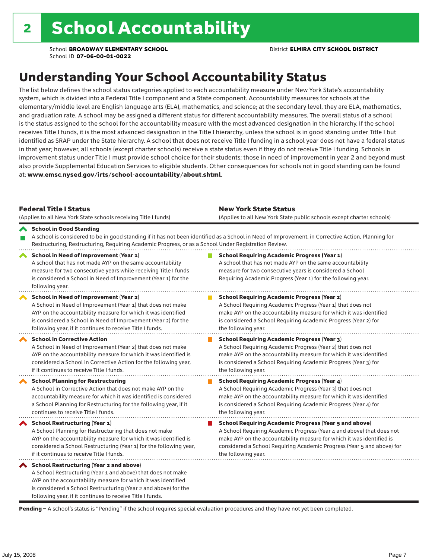## Understanding Your School Accountability Status

The list below defines the school status categories applied to each accountability measure under New York State's accountability system, which is divided into a Federal Title I component and a State component. Accountability measures for schools at the elementary/middle level are English language arts (ELA), mathematics, and science; at the secondary level, they are ELA, mathematics, and graduation rate. A school may be assigned a different status for different accountability measures. The overall status of a school is the status assigned to the school for the accountability measure with the most advanced designation in the hierarchy. If the school receives Title I funds, it is the most advanced designation in the Title I hierarchy, unless the school is in good standing under Title I but identified as SRAP under the State hierarchy. A school that does not receive Title I funding in a school year does not have a federal status in that year; however, all schools (except charter schools) receive a state status even if they do not receive Title I funding. Schools in improvement status under Title I must provide school choice for their students; those in need of improvement in year 2 and beyond must also provide Supplemental Education Services to eligible students. Other consequences for schools not in good standing can be found at: www.emsc.nysed.gov/irts/school-accountability/about.shtml.

| <b>Federal Title I Status</b><br>(Applies to all New York State schools receiving Title I funds)                                                                                                                                                                                                         | <b>New York State Status</b><br>(Applies to all New York State public schools except charter schools)                                                                                                                                                                                                           |
|----------------------------------------------------------------------------------------------------------------------------------------------------------------------------------------------------------------------------------------------------------------------------------------------------------|-----------------------------------------------------------------------------------------------------------------------------------------------------------------------------------------------------------------------------------------------------------------------------------------------------------------|
| School in Good Standing<br>Restructuring, Restructuring, Requiring Academic Progress, or as a School Under Registration Review.                                                                                                                                                                          | A school is considered to be in good standing if it has not been identified as a School in Need of Improvement, in Corrective Action, Planning for                                                                                                                                                              |
| School in Need of Improvement (Year 1)<br>A school that has not made AYP on the same accountability<br>measure for two consecutive years while receiving Title I funds<br>is considered a School in Need of Improvement (Year 1) for the<br>following year.                                              | <b>School Requiring Academic Progress (Year 1)</b><br>A school that has not made AYP on the same accountability<br>measure for two consecutive years is considered a School<br>Requiring Academic Progress (Year 1) for the following year.                                                                     |
| School in Need of Improvement (Year 2)<br>A School in Need of Improvement (Year 1) that does not make<br>AYP on the accountability measure for which it was identified<br>is considered a School in Need of Improvement (Year 2) for the<br>following year, if it continues to receive Title I funds.    | <b>School Requiring Academic Progress (Year 2)</b><br>A School Requiring Academic Progress (Year 1) that does not<br>make AYP on the accountability measure for which it was identified<br>is considered a School Requiring Academic Progress (Year 2) for<br>the following year.                               |
| <b>School in Corrective Action</b><br>A School in Need of Improvement (Year 2) that does not make<br>AYP on the accountability measure for which it was identified is<br>considered a School in Corrective Action for the following year,<br>if it continues to receive Title I funds.                   | <b>School Requiring Academic Progress (Year 3)</b><br>A School Requiring Academic Progress (Year 2) that does not<br>make AYP on the accountability measure for which it was identified<br>is considered a School Requiring Academic Progress (Year 3) for<br>the following year.                               |
| <b>School Planning for Restructuring</b><br>A School in Corrective Action that does not make AYP on the<br>accountability measure for which it was identified is considered<br>a School Planning for Restructuring for the following year, if it<br>continues to receive Title I funds.                  | <b>School Requiring Academic Progress (Year 4)</b><br>A School Requiring Academic Progress (Year 3) that does not<br>make AYP on the accountability measure for which it was identified<br>is considered a School Requiring Academic Progress (Year 4) for<br>the following year.                               |
| School Restructuring (Year 1)<br>A School Planning for Restructuring that does not make<br>AYP on the accountability measure for which it was identified is<br>considered a School Restructuring (Year 1) for the following year,<br>if it continues to receive Title I funds.                           | <b>School Requiring Academic Progress (Year 5 and above)</b><br>A School Requiring Academic Progress (Year 4 and above) that does not<br>make AYP on the accountability measure for which it was identified is<br>considered a School Requiring Academic Progress (Year 5 and above) for<br>the following year. |
| School Restructuring (Year 2 and above)<br>A School Restructuring (Year 1 and above) that does not make<br>AYP on the accountability measure for which it was identified<br>is considered a School Restructuring (Year 2 and above) for the<br>following year, if it continues to receive Title I funds. |                                                                                                                                                                                                                                                                                                                 |

Pending - A school's status is "Pending" if the school requires special evaluation procedures and they have not yet been completed.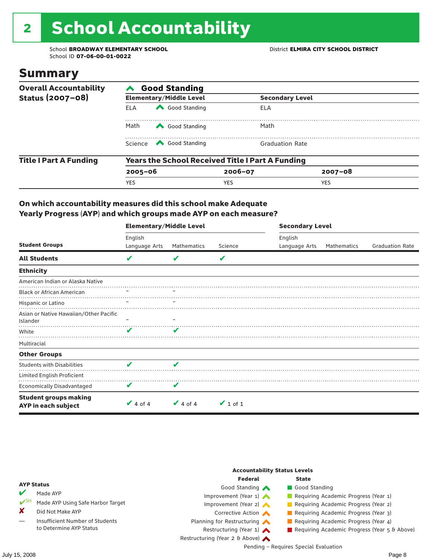# 2 School Accountability

School **BROADWAY ELEMENTARY SCHOOL** District **ELMIRA CITY SCHOOL DISTRICT** School ID **07-06-00-01-0022**

### Summary

| <b>Overall Accountability</b> | <b>Good Standing</b>                                    |                                |                        |                        |  |  |  |
|-------------------------------|---------------------------------------------------------|--------------------------------|------------------------|------------------------|--|--|--|
| Status (2007-08)              |                                                         | <b>Elementary/Middle Level</b> |                        | <b>Secondary Level</b> |  |  |  |
|                               | <b>ELA</b>                                              | Good Standing                  | ELA                    |                        |  |  |  |
|                               | Math                                                    | Good Standing                  | Math                   |                        |  |  |  |
|                               | Science                                                 | Good Standing                  | <b>Graduation Rate</b> |                        |  |  |  |
| <b>Title I Part A Funding</b> | <b>Years the School Received Title I Part A Funding</b> |                                |                        |                        |  |  |  |
|                               | $2005 - 06$                                             |                                | $2006 - 07$            | $2007 - 08$            |  |  |  |
|                               | <b>YES</b>                                              |                                | <b>YES</b>             | <b>YES</b>             |  |  |  |

#### On which accountability measures did this school make Adequate Yearly Progress (AYP) and which groups made AYP on each measure?

|                                                     | <b>Elementary/Middle Level</b> |                    |               | <b>Secondary Level</b> |             |                        |  |  |
|-----------------------------------------------------|--------------------------------|--------------------|---------------|------------------------|-------------|------------------------|--|--|
|                                                     | English                        |                    |               | English                |             |                        |  |  |
| <b>Student Groups</b>                               | Language Arts                  | Mathematics        | Science       | Language Arts          | Mathematics | <b>Graduation Rate</b> |  |  |
| <b>All Students</b>                                 | V                              |                    | V             |                        |             |                        |  |  |
| <b>Ethnicity</b>                                    |                                |                    |               |                        |             |                        |  |  |
| American Indian or Alaska Native                    |                                |                    |               |                        |             |                        |  |  |
| <b>Black or African American</b>                    |                                |                    |               |                        |             |                        |  |  |
| Hispanic or Latino                                  |                                |                    |               |                        |             |                        |  |  |
| Asian or Native Hawaiian/Other Pacific<br>Islander  |                                |                    |               |                        |             |                        |  |  |
| White                                               | V                              | ✔                  |               |                        |             |                        |  |  |
| Multiracial                                         |                                |                    |               |                        |             |                        |  |  |
| <b>Other Groups</b>                                 |                                |                    |               |                        |             |                        |  |  |
| <b>Students with Disabilities</b>                   | V                              | $\boldsymbol{\nu}$ |               |                        |             |                        |  |  |
| Limited English Proficient                          |                                |                    |               |                        |             |                        |  |  |
| Economically Disadvantaged                          | V                              | V                  |               |                        |             |                        |  |  |
| <b>Student groups making</b><br>AYP in each subject | $\vee$ 4 of 4                  | $\vee$ 4 of 4      | $\vee$ 1 of 1 |                        |             |                        |  |  |

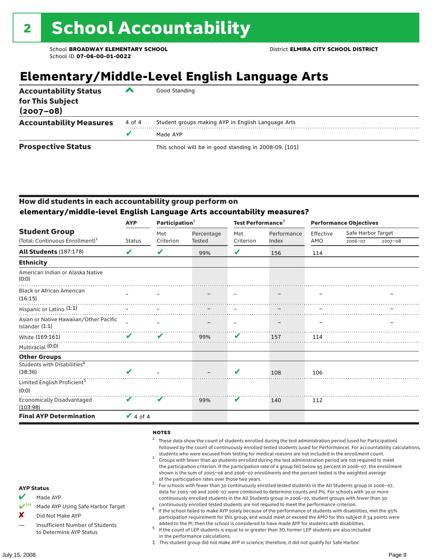## **Elementary/Middle-Level English Language Arts**

| <b>Accountability Status</b><br>for This Subject<br>$(2007 - 08)$ | ▰      | Good Standing                                          |
|-------------------------------------------------------------------|--------|--------------------------------------------------------|
| <b>Accountability Measures</b>                                    | 4 of 4 | Student groups making AYP in English Language Arts     |
|                                                                   | v      | Made AYP                                               |
| <b>Prospective Status</b>                                         |        | This school will be in good standing in 2008-09. [101] |

#### How did students in each accountability group perform on **elementary/middle-level English Language Arts accountability measures?**

|                                                            | <b>AYP</b>    | Participation <sup>2</sup> |            | Test Performance <sup>3</sup> |             | <b>Performance Objectives</b> |                    |             |
|------------------------------------------------------------|---------------|----------------------------|------------|-------------------------------|-------------|-------------------------------|--------------------|-------------|
| <b>Student Group</b>                                       |               | Met                        | Percentage | Met                           | Performance | Effective                     | Safe Harbor Target |             |
| (Total: Continuous Enrollment) <sup>1</sup>                | <b>Status</b> | Criterion                  | Tested     | Criterion                     | Index       | AMO                           | 2006-07            | $2007 - 08$ |
| <b>All Students (187:178)</b>                              | V             | V                          | 99%        | V                             | 156         | 114                           |                    |             |
| <b>Ethnicity</b>                                           |               |                            |            |                               |             |                               |                    |             |
| American Indian or Alaska Native<br>(0:0)                  |               |                            |            |                               |             |                               |                    |             |
| <b>Black or African American</b><br>(16:15)                |               |                            |            |                               |             |                               |                    |             |
| Hispanic or Latino (1:1)                                   |               |                            |            |                               |             |                               |                    |             |
| Asian or Native Hawaiian/Other Pacific<br>Islander $(1:1)$ |               |                            |            |                               |             |                               |                    |             |
| White (169:161)<br>Multiracial (0:0)                       | ✔             | V                          | 99%        | V                             | 157         | 114                           |                    |             |
| <b>Other Groups</b>                                        |               |                            |            |                               |             |                               |                    |             |
| Students with Disabilities <sup>4</sup><br>(38:36)         | $\mathbf{v}$  |                            |            | V                             | 108         | 106                           |                    |             |
| Limited English Proficient <sup>5</sup><br>(0:0)           |               |                            |            |                               |             |                               |                    |             |
| Economically Disadvantaged<br>(103:98)                     | V             | v                          | 99%        | V                             | 140         | 112                           |                    |             |
| <b>Final AYP Determination</b>                             | $\vee$ 4 of 4 |                            |            |                               |             |                               |                    |             |

#### **NOTES**

- <sup>1</sup> These data show the count of students enrolled during the test administration period (used for Participation) followed by the count of continuously enrolled tested students (used for Performance). For accountability calculations,
- students who were excused from testing for medical reasons are not included in the enrollment count. <sup>2</sup> Groups with fewer than 40 students enrolled during the test administration period are not required to meet the participation criterion. If the participation rate of a group fell below 95 percent in 2006–07, the enrollment shown is the sum of 2005–06 and 2006–07 enrollments and the percent tested is the weighted average
- of the participation rates over those two years.<br><sup>3</sup> For schools with fewer than 30 continuously enrolled tested students in the All Students group in 2006–07, data for 2005–06 and 2006–07 were combined to determine counts and PIs. For schools with 30 or more continuously enrolled students in the All Students group in 2006–07, student groups with fewer than 30
- continuously enrolled tested students are not required to meet the performance criterion. <sup>4</sup> If the school failed to make AYP solely because of the performance of students with disabilities, met the 95% participation requirement for this group, and would meet or exceed the AMO for this subject if 34 points were added to the PI, then the school is considered to have made AYP for students with disabilities.
- $5$  If the count of LEP students is equal to or greater than 30, former LEP students are also included in the performance calculations.
- ‡ This student group did not make AYP in science; therefore, it did not qualify for Safe Harbor.
- Made AYP
	- Made AYP Using Safe Harbor Target
- X Did Not Make AYP
- Insufficient Number of Students to Determine AYP Status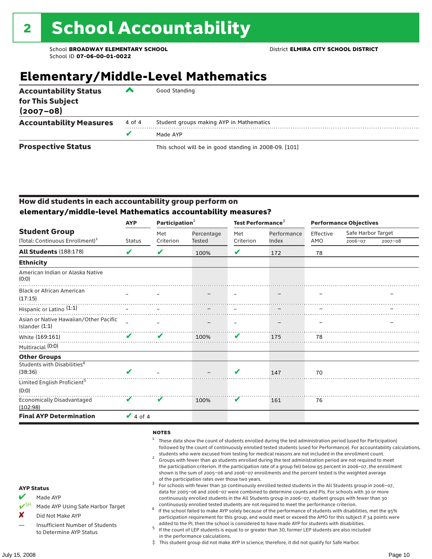### **Elementary/Middle-Level Mathematics**

| <b>Accountability Status</b><br>for This Subject<br>$(2007 - 08)$ | ▰      | Good Standing                                          |
|-------------------------------------------------------------------|--------|--------------------------------------------------------|
| <b>Accountability Measures</b>                                    | 4 of 4 | Student groups making AYP in Mathematics               |
|                                                                   | v      | Made AYP                                               |
| <b>Prospective Status</b>                                         |        | This school will be in good standing in 2008-09. [101] |

#### How did students in each accountability group perform on **elementary/middle-level Mathematics accountability measures?**

|                                                            | <b>AYP</b>                 | Participation $2$ |                      | Test Performance <sup>3</sup> |             | <b>Performance Objectives</b> |                    |             |  |
|------------------------------------------------------------|----------------------------|-------------------|----------------------|-------------------------------|-------------|-------------------------------|--------------------|-------------|--|
| <b>Student Group</b>                                       |                            | Met               | Percentage<br>Tested | Met                           | Performance | Effective                     | Safe Harbor Target |             |  |
| (Total: Continuous Enrollment) <sup>1</sup>                | <b>Status</b>              | Criterion         |                      | Criterion                     | Index       | AMO                           | 2006-07            | $2007 - 08$ |  |
| <b>All Students (188:178)</b>                              | V                          | V                 | 100%                 | V                             | 172         | 78                            |                    |             |  |
| <b>Ethnicity</b>                                           |                            |                   |                      |                               |             |                               |                    |             |  |
| American Indian or Alaska Native<br>(0:0)                  |                            |                   |                      |                               |             |                               |                    |             |  |
| <b>Black or African American</b><br>(17:15)                |                            |                   |                      |                               |             |                               |                    |             |  |
| Hispanic or Latino (1:1)                                   |                            |                   |                      |                               |             |                               |                    |             |  |
| Asian or Native Hawaiian/Other Pacific<br>Islander $(1:1)$ |                            |                   |                      |                               |             |                               |                    |             |  |
| <u>and the second second</u><br>White (169:161)            |                            | ✔                 | 100%                 | V                             | 175         | 78                            |                    |             |  |
| Multiracial (0:0)                                          |                            |                   |                      |                               |             |                               |                    |             |  |
| <b>Other Groups</b>                                        |                            |                   |                      |                               |             |                               |                    |             |  |
| Students with Disabilities <sup>4</sup><br>(38:36)         | ✔                          |                   |                      | V                             | 147         | 70                            |                    |             |  |
| Limited English Proficient <sup>5</sup><br>(0:0)           |                            |                   |                      |                               |             |                               |                    |             |  |
| <b>Economically Disadvantaged</b><br>(102:98)              | $\boldsymbol{\mathcal{U}}$ | V                 | 100%                 | V                             | 161         | 76                            |                    |             |  |
| <b>Final AYP Determination</b>                             | $\vee$ 4 of 4              |                   |                      |                               |             |                               |                    |             |  |

#### **NOTES**

- <sup>1</sup> These data show the count of students enrolled during the test administration period (used for Participation) followed by the count of continuously enrolled tested students (used for Performance). For accountability calculations,
- students who were excused from testing for medical reasons are not included in the enrollment count.<br><sup>2</sup> Groups with fewer than 40 students enrolled during the test administration period are not required to meet the participation criterion. If the participation rate of a group fell below 95 percent in 2006–07, the enrollment shown is the sum of 2005–06 and 2006–07 enrollments and the percent tested is the weighted average
- of the participation rates over those two years.<br><sup>3</sup> For schools with fewer than 30 continuously enrolled tested students in the All Students group in 2006–07, data for 2005–06 and 2006–07 were combined to determine counts and PIs. For schools with 30 or more continuously enrolled students in the All Students group in 2006–07, student groups with fewer than 30
- continuously enrolled tested students are not required to meet the performance criterion. <sup>4</sup> If the school failed to make AYP solely because of the performance of students with disabilities, met the 95% participation requirement for this group, and would meet or exceed the AMO for this subject if 34 points were added to the PI, then the school is considered to have made AYP for students with disabilities.
- $5$  If the count of LEP students is equal to or greater than 30, former LEP students are also included in the performance calculations.
- ‡ This student group did not make AYP in science; therefore, it did not qualify for Safe Harbor.
- Made AYP
	- Made AYP Using Safe Harbor Target
- X Did Not Make AYP
- Insufficient Number of Students to Determine AYP Status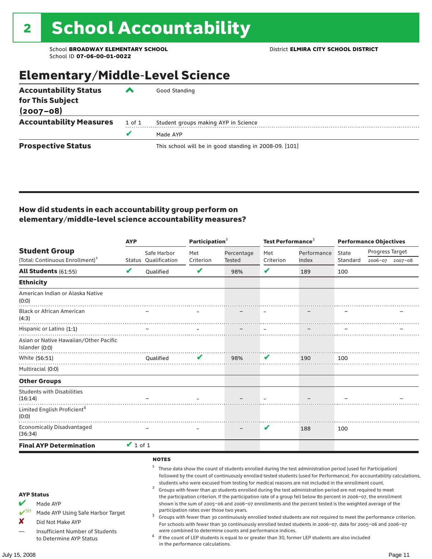### Elementary/Middle-Level Science

| <b>Accountability Status</b>   | ‴      | Good Standing                                          |
|--------------------------------|--------|--------------------------------------------------------|
| for This Subject               |        |                                                        |
| $(2007 - 08)$                  |        |                                                        |
| <b>Accountability Measures</b> | 1 of 1 | Student groups making AYP in Science                   |
|                                | v      | Made AYP                                               |
| <b>Prospective Status</b>      |        | This school will be in good standing in 2008-09. [101] |

#### How did students in each accountability group perform on elementary/middle-level science accountability measures?

|                                                                                                                                                                                   | <b>AYP</b>    |                                     | Participation <sup>2</sup>                                                    |                                                            | Test Performance $3$ |                                                                                                                                                                                                                                                                                                                                                                                                                                                                                                                                                                                                                                                                                                                                                                                                                                                                                                                                                                                                                                                 | <b>Performance Objectives</b> |                 |                 |
|-----------------------------------------------------------------------------------------------------------------------------------------------------------------------------------|---------------|-------------------------------------|-------------------------------------------------------------------------------|------------------------------------------------------------|----------------------|-------------------------------------------------------------------------------------------------------------------------------------------------------------------------------------------------------------------------------------------------------------------------------------------------------------------------------------------------------------------------------------------------------------------------------------------------------------------------------------------------------------------------------------------------------------------------------------------------------------------------------------------------------------------------------------------------------------------------------------------------------------------------------------------------------------------------------------------------------------------------------------------------------------------------------------------------------------------------------------------------------------------------------------------------|-------------------------------|-----------------|-----------------|
| <b>Student Group</b>                                                                                                                                                              |               | Safe Harbor                         | Met                                                                           | Percentage                                                 | Met                  | Performance                                                                                                                                                                                                                                                                                                                                                                                                                                                                                                                                                                                                                                                                                                                                                                                                                                                                                                                                                                                                                                     | State                         | Progress Target |                 |
| (Total: Continuous Enrollment) <sup>1</sup>                                                                                                                                       |               | Status Qualification                | Criterion                                                                     | Tested                                                     | Criterion            | Index                                                                                                                                                                                                                                                                                                                                                                                                                                                                                                                                                                                                                                                                                                                                                                                                                                                                                                                                                                                                                                           | Standard                      |                 | 2006-07 2007-08 |
| All Students (61:55)                                                                                                                                                              | $\mathbf{v}$  | Oualified                           | $\mathbf v$                                                                   | 98%                                                        | $\mathbf{v}$         | 189                                                                                                                                                                                                                                                                                                                                                                                                                                                                                                                                                                                                                                                                                                                                                                                                                                                                                                                                                                                                                                             | 100                           |                 |                 |
| <b>Ethnicity</b>                                                                                                                                                                  |               |                                     |                                                                               |                                                            |                      |                                                                                                                                                                                                                                                                                                                                                                                                                                                                                                                                                                                                                                                                                                                                                                                                                                                                                                                                                                                                                                                 |                               |                 |                 |
| American Indian or Alaska Native<br>(0:0)                                                                                                                                         |               |                                     |                                                                               |                                                            |                      |                                                                                                                                                                                                                                                                                                                                                                                                                                                                                                                                                                                                                                                                                                                                                                                                                                                                                                                                                                                                                                                 |                               |                 |                 |
| <b>Black or African American</b><br>(4:3)                                                                                                                                         |               |                                     |                                                                               |                                                            |                      |                                                                                                                                                                                                                                                                                                                                                                                                                                                                                                                                                                                                                                                                                                                                                                                                                                                                                                                                                                                                                                                 |                               |                 |                 |
| Hispanic or Latino (1:1)                                                                                                                                                          |               |                                     |                                                                               |                                                            |                      |                                                                                                                                                                                                                                                                                                                                                                                                                                                                                                                                                                                                                                                                                                                                                                                                                                                                                                                                                                                                                                                 |                               |                 |                 |
| Asian or Native Hawaiian/Other Pacific<br>Islander (0:0)                                                                                                                          |               |                                     |                                                                               |                                                            |                      |                                                                                                                                                                                                                                                                                                                                                                                                                                                                                                                                                                                                                                                                                                                                                                                                                                                                                                                                                                                                                                                 |                               |                 |                 |
| White (56:51)                                                                                                                                                                     |               | Qualified                           | V                                                                             | 98%                                                        | V                    | 190                                                                                                                                                                                                                                                                                                                                                                                                                                                                                                                                                                                                                                                                                                                                                                                                                                                                                                                                                                                                                                             | 100                           |                 |                 |
| Multiracial (0:0)                                                                                                                                                                 |               |                                     |                                                                               |                                                            |                      |                                                                                                                                                                                                                                                                                                                                                                                                                                                                                                                                                                                                                                                                                                                                                                                                                                                                                                                                                                                                                                                 |                               |                 |                 |
| <b>Other Groups</b>                                                                                                                                                               |               |                                     |                                                                               |                                                            |                      |                                                                                                                                                                                                                                                                                                                                                                                                                                                                                                                                                                                                                                                                                                                                                                                                                                                                                                                                                                                                                                                 |                               |                 |                 |
| <b>Students with Disabilities</b><br>(16:14)                                                                                                                                      |               |                                     |                                                                               |                                                            |                      |                                                                                                                                                                                                                                                                                                                                                                                                                                                                                                                                                                                                                                                                                                                                                                                                                                                                                                                                                                                                                                                 |                               |                 |                 |
| Limited English Proficient <sup>4</sup><br>(0:0)                                                                                                                                  |               |                                     |                                                                               |                                                            |                      |                                                                                                                                                                                                                                                                                                                                                                                                                                                                                                                                                                                                                                                                                                                                                                                                                                                                                                                                                                                                                                                 |                               |                 |                 |
| <b>Economically Disadvantaged</b><br>(36:34)                                                                                                                                      |               |                                     |                                                                               |                                                            | V                    | 188                                                                                                                                                                                                                                                                                                                                                                                                                                                                                                                                                                                                                                                                                                                                                                                                                                                                                                                                                                                                                                             | 100                           |                 |                 |
| <b>Final AYP Determination</b>                                                                                                                                                    | $\vee$ 1 of 1 |                                     |                                                                               |                                                            |                      |                                                                                                                                                                                                                                                                                                                                                                                                                                                                                                                                                                                                                                                                                                                                                                                                                                                                                                                                                                                                                                                 |                               |                 |                 |
| <b>AYP Status</b><br>V<br>Made AYP<br>$V^{\text{SH}}$<br>Made AYP Using Safe Harbor Target<br>×<br>Did Not Make AYP<br>Insufficient Number of Students<br>to Determine AYP Status |               | <b>NOTES</b><br>$\overline{a}$<br>3 | participation rates over those two years.<br>in the performance calculations. | were combined to determine counts and performance indices. |                      | These data show the count of students enrolled during the test administration period (used for Participation)<br>followed by the count of continuously enrolled tested students (used for Performance). For accountability calculations,<br>students who were excused from testing for medical reasons are not included in the enrollment count.<br>Groups with fewer than 40 students enrolled during the test administration period are not required to meet<br>the participation criterion. If the participation rate of a group fell below 80 percent in 2006-07, the enrollment<br>shown is the sum of 2005-06 and 2006-07 enrollments and the percent tested is the weighted average of the<br>Groups with fewer than 30 continuously enrolled tested students are not required to meet the performance criterion.<br>For schools with fewer than 30 continuously enrolled tested students in 2006-07, data for 2005-06 and 2006-07<br>If the count of LEP students is equal to or greater than 30, former LEP students are also included |                               |                 |                 |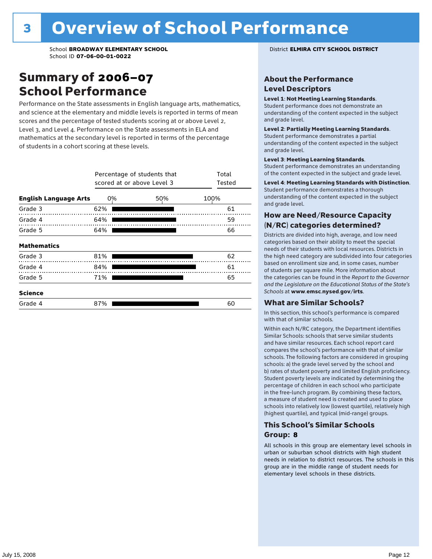### Summary of 2006–07 School Performance

Performance on the State assessments in English language arts, mathematics, and science at the elementary and middle levels is reported in terms of mean scores and the percentage of tested students scoring at or above Level 2, Level 3, and Level 4. Performance on the State assessments in ELA and mathematics at the secondary level is reported in terms of the percentage of students in a cohort scoring at these levels.

|                              |     | Percentage of students that<br>scored at or above Level 3 |      |  |  |  |  |  |  |  |
|------------------------------|-----|-----------------------------------------------------------|------|--|--|--|--|--|--|--|
| <b>English Language Arts</b> | 0%  | 50%                                                       | 100% |  |  |  |  |  |  |  |
| Grade 3                      | 62% |                                                           | 61   |  |  |  |  |  |  |  |
| Grade 4                      | 64% |                                                           | 59   |  |  |  |  |  |  |  |
| Grade 5                      | 64% |                                                           | 66   |  |  |  |  |  |  |  |
| <b>Mathematics</b>           |     |                                                           |      |  |  |  |  |  |  |  |
| Grade 3                      | 81% |                                                           | 62   |  |  |  |  |  |  |  |
| Grade 4                      | 84% |                                                           | 61   |  |  |  |  |  |  |  |
| Grade 5                      | 71% |                                                           | 65   |  |  |  |  |  |  |  |
| <b>Science</b>               |     |                                                           |      |  |  |  |  |  |  |  |
| Grade 4                      | 87% |                                                           | 60   |  |  |  |  |  |  |  |

#### About the Performance Level Descriptors

#### Level 1: Not Meeting Learning Standards.

Student performance does not demonstrate an understanding of the content expected in the subject and grade level.

#### Level 2: Partially Meeting Learning Standards.

Student performance demonstrates a partial understanding of the content expected in the subject and grade level.

#### Level 3: Meeting Learning Standards.

Student performance demonstrates an understanding of the content expected in the subject and grade level.

#### Level 4: Meeting Learning Standards with Distinction.

Student performance demonstrates a thorough understanding of the content expected in the subject and grade level.

#### How are Need/Resource Capacity (N/RC) categories determined?

Districts are divided into high, average, and low need categories based on their ability to meet the special needs of their students with local resources. Districts in the high need category are subdivided into four categories based on enrollment size and, in some cases, number of students per square mile. More information about the categories can be found in the *Report to the Governor and the Legislature on the Educational Status of the State's Schools* at www.emsc.nysed.gov/irts.

#### What are Similar Schools?

In this section, this school's performance is compared with that of similar schools.

Within each N/RC category, the Department identifies Similar Schools: schools that serve similar students and have similar resources. Each school report card compares the school's performance with that of similar schools. The following factors are considered in grouping schools: a) the grade level served by the school and b) rates of student poverty and limited English proficiency. Student poverty levels are indicated by determining the percentage of children in each school who participate in the free-lunch program. By combining these factors, a measure of student need is created and used to place schools into relatively low (lowest quartile), relatively high (highest quartile), and typical (mid-range) groups.

#### This School's Similar Schools Group: **8**

All schools in this group are elementary level schools in urban or suburban school districts with high student needs in relation to district resources. The schools in this group are in the middle range of student needs for elementary level schools in these districts.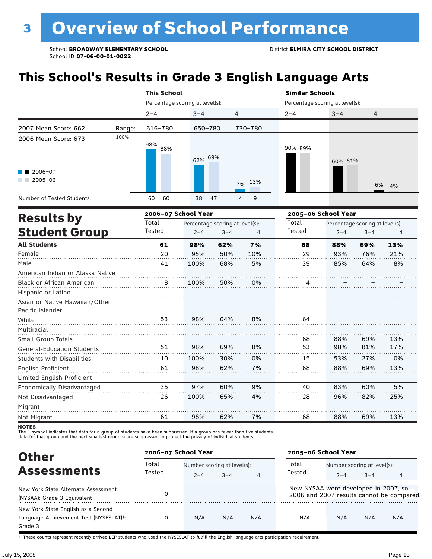# **This School's Results in Grade 3 English Language Arts**

|                                                                          |        | <b>This School</b>              |                                 |         |           | <b>Similar Schools</b>          |         |                                 |          |
|--------------------------------------------------------------------------|--------|---------------------------------|---------------------------------|---------|-----------|---------------------------------|---------|---------------------------------|----------|
|                                                                          |        | Percentage scoring at level(s): |                                 |         |           | Percentage scoring at level(s): |         |                                 |          |
|                                                                          |        | $2 - 4$                         | $3 - 4$                         |         | 4         | $2 - 4$                         | $3 - 4$ | 4                               |          |
| 2007 Mean Score: 662                                                     | Range: | 616-780                         | 650-780                         |         | 730-780   |                                 |         |                                 |          |
| 2006 Mean Score: 673                                                     | 100%   | 98%<br>88%                      | 62% 69%                         |         |           | 90% 89%                         | 60% 61% |                                 |          |
| 2006-07<br>$2005 - 06$                                                   |        |                                 |                                 |         | 13%<br>7% |                                 |         |                                 | 6%<br>4% |
| Number of Tested Students:                                               |        | 60<br>60                        | 38                              | 47      | 9<br>4    |                                 |         |                                 |          |
|                                                                          |        | 2006-07 School Year             |                                 |         |           | 2005-06 School Year             |         |                                 |          |
| <b>Results by</b>                                                        |        | Total                           | Percentage scoring at level(s): |         |           | Total                           |         | Percentage scoring at level(s): |          |
| <b>Student Group</b>                                                     |        | Tested                          | $2 - 4$                         | $3 - 4$ | 4         | Tested                          | $2 - 4$ | $3 - 4$                         | 4        |
| <b>All Students</b>                                                      |        | 61                              | 98%                             | 62%     | 7%        | 68                              | 88%     | 69%                             | 13%      |
| Female                                                                   |        | 20                              | 95%                             | 50%     | 10%       | 29                              | 93%     | 76%                             | 21%      |
| Male                                                                     |        | 41                              | 100%                            | 68%     | 5%        | 39                              | 85%     | 64%                             | 8%       |
| American Indian or Alaska Native                                         |        |                                 |                                 |         |           |                                 |         |                                 |          |
| <b>Black or African American</b>                                         |        | 8                               | 100%                            | 50%     | 0%        | 4                               |         |                                 |          |
| Hispanic or Latino<br>Asian or Native Hawaiian/Other<br>Pacific Islander |        |                                 |                                 |         |           |                                 |         |                                 |          |
| White                                                                    |        | 53                              | 98%                             | 64%     | 8%        | 64                              |         |                                 |          |
| Multiracial                                                              |        |                                 |                                 |         |           |                                 |         |                                 |          |
| Small Group Totals                                                       |        |                                 |                                 |         |           | 68                              | 88%     | 69%                             | 13%      |
| <b>General-Education Students</b>                                        |        | 51                              | 98%                             | 69%     | 8%        | 53                              | 98%     | 81%                             | 17%      |
| <b>Students with Disabilities</b>                                        |        | 10                              | 100%                            | 30%     | 0%        | 15                              | 53%     | 27%                             | 0%       |
| English Proficient<br>Limited English Proficient                         |        | 61                              | 98%                             | 62%     | 7%        | 68                              | 88%     | 69%                             | 13%      |
| Economically Disadvantaged                                               |        | 35                              | 97%                             | 60%     | 9%        | 40                              | 83%     | 60%                             | 5%       |
| Not Disadvantaged                                                        |        | 26                              | 100%                            | 65%     | 4%        | 28                              | 96%     | 82%                             | 25%      |
| Migrant                                                                  |        |                                 |                                 |         |           |                                 |         |                                 |          |
| Not Migrant                                                              |        | 61                              | 98%                             | 62%     | 7%        | 68                              | 88%     | 69%                             | 13%      |

**NOTES** 

The – symbol indicates that data for a group of students have been suppressed. If a group has fewer than five students,<br>data for that group and the next smallest group(s) are suppressed to protect the privacy of individual

| <b>Other</b>                                                                            | 2006-07 School Year |                             |         |                | 2005-06 School Year                  |         |                             |                                           |  |
|-----------------------------------------------------------------------------------------|---------------------|-----------------------------|---------|----------------|--------------------------------------|---------|-----------------------------|-------------------------------------------|--|
|                                                                                         | Total               | Number scoring at level(s): |         |                | Total                                |         | Number scoring at level(s): |                                           |  |
| <b>Assessments</b>                                                                      | Tested              | $2 - 4$                     | $3 - 4$ | $\overline{4}$ | Tested                               | $2 - 4$ | $3 - 4$                     |                                           |  |
| New York State Alternate Assessment<br>(NYSAA): Grade 3 Equivalent                      | 0                   |                             |         |                | New NYSAA were developed in 2007, so |         |                             | 2006 and 2007 results cannot be compared. |  |
| New York State English as a Second<br>Language Achievement Test (NYSESLAT)t:<br>Grade 3 |                     | N/A                         | N/A     | N/A            | N/A                                  | N/A     | N/A                         | N/A                                       |  |

† These counts represent recently arrived LEP students who used the NYSESLAT to fulfill the English language arts participation requirement.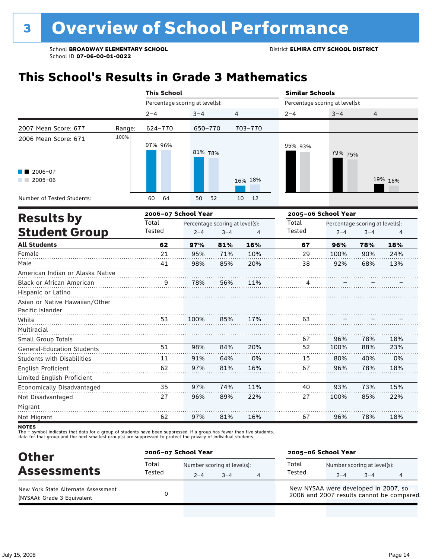# **This School's Results in Grade 3 Mathematics**

|                                                                          |        | <b>This School</b>              |         |                                 |                | <b>Similar Schools</b>          |         |                                 |         |
|--------------------------------------------------------------------------|--------|---------------------------------|---------|---------------------------------|----------------|---------------------------------|---------|---------------------------------|---------|
|                                                                          |        | Percentage scoring at level(s): |         |                                 |                | Percentage scoring at level(s): |         |                                 |         |
|                                                                          |        | $2 - 4$                         | $3 - 4$ | $\overline{4}$                  |                | $2 - 4$                         | $3 - 4$ | 4                               |         |
| 2007 Mean Score: 677                                                     | Range: | 624-770                         | 650-770 |                                 | 703-770        |                                 |         |                                 |         |
| 2006 Mean Score: 671                                                     | 100%   | 97% 96%                         | 81% 78% |                                 |                | 95% 93%                         | 79% 75% |                                 |         |
| 2006-07<br>$2005 - 06$                                                   |        |                                 |         |                                 | 16% 18%        |                                 |         |                                 | 19% 16% |
| Number of Tested Students:                                               |        | 60<br>64                        | 50      | 52                              | 12<br>10       |                                 |         |                                 |         |
| <b>Results by</b>                                                        |        | 2006-07 School Year             |         |                                 |                | 2005-06 School Year             |         |                                 |         |
|                                                                          |        | Total                           |         | Percentage scoring at level(s): |                | Total                           |         | Percentage scoring at level(s): |         |
| <b>Student Group</b>                                                     |        | Tested                          | $2 - 4$ | $3 - 4$                         | $\overline{4}$ | Tested                          | $2 - 4$ | $3 - 4$                         | 4       |
| <b>All Students</b>                                                      |        | 62                              | 97%     | 81%                             | 16%            | 67                              | 96%     | 78%                             | 18%     |
| Female                                                                   |        | 21                              | 95%     | 71%                             | 10%            | 29                              | 100%    | 90%                             | 24%     |
| Male                                                                     |        | 41                              | 98%     | 85%                             | 20%            | 38                              | 92%     | 68%                             | 13%     |
| American Indian or Alaska Native                                         |        |                                 |         |                                 |                |                                 |         |                                 |         |
| Black or African American                                                |        | 9                               | 78%     | 56%                             | 11%            | 4                               |         |                                 |         |
| Hispanic or Latino<br>Asian or Native Hawaiian/Other<br>Pacific Islander |        |                                 |         |                                 |                |                                 |         |                                 |         |
| White                                                                    |        | 53                              | 100%    | 85%                             | 17%            | 63                              |         |                                 |         |
| Multiracial                                                              |        |                                 |         |                                 |                |                                 |         |                                 |         |
| Small Group Totals                                                       |        |                                 |         |                                 |                | 67                              | 96%     | 78%                             | 18%     |
| <b>General-Education Students</b>                                        |        | 51                              | 98%     | 84%                             | 20%            | 52                              | 100%    | 88%                             | 23%     |
| <b>Students with Disabilities</b>                                        |        | 11                              | 91%     | 64%                             | 0%             | 15                              | 80%     | 40%                             | 0%      |
| <b>English Proficient</b><br>Limited English Proficient                  |        | 62                              | 97%     | 81%                             | 16%            | 67                              | 96%     | 78%                             | 18%     |
| Economically Disadvantaged                                               |        | 35                              | 97%     | 74%                             | 11%            | 40                              | 93%     | 73%                             | 15%     |
| Not Disadvantaged                                                        |        | 27                              | 96%     | 89%                             | 22%            | 27                              | 100%    | 85%                             | 22%     |
| Migrant                                                                  |        |                                 |         |                                 |                |                                 |         |                                 |         |
| Not Migrant                                                              |        | 62                              | 97%     | 81%                             | 16%            | 67                              | 96%     | 78%                             | 18%     |

**NOTES** 

The – symbol indicates that data for a group of students have been suppressed. If a group has fewer than five students,<br>data for that group and the next smallest group(s) are suppressed to protect the privacy of individual

| <b>Other</b><br><b>Assessments</b><br>New York State Alternate Assessment<br>(NYSAA): Grade 3 Equivalent |                 | 2006-07 School Year                    |         | 2005-06 School Year                  |                                        |         |                                           |  |
|----------------------------------------------------------------------------------------------------------|-----------------|----------------------------------------|---------|--------------------------------------|----------------------------------------|---------|-------------------------------------------|--|
|                                                                                                          | Total<br>Tested | Number scoring at level(s):<br>$2 - 4$ | $3 - 4$ | Total<br>Tested                      | Number scoring at level(s):<br>$2 - 4$ | $3 - 4$ |                                           |  |
|                                                                                                          |                 |                                        |         | New NYSAA were developed in 2007, so |                                        |         | 2006 and 2007 results cannot be compared. |  |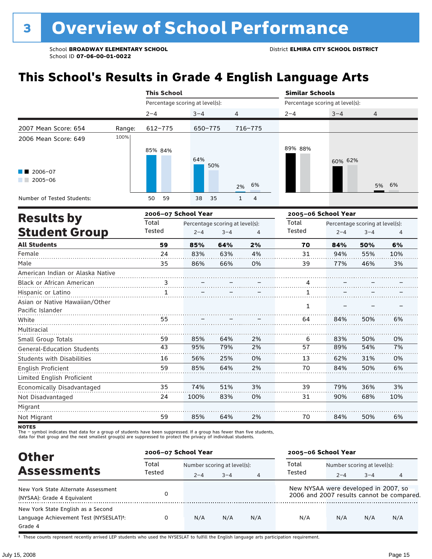# **This School's Results in Grade 4 English Language Arts**

|                                                    |        |                     | <b>This School</b> |                                 |         |              |         |                                 | <b>Similar Schools</b> |                                 |     |  |  |  |
|----------------------------------------------------|--------|---------------------|--------------------|---------------------------------|---------|--------------|---------|---------------------------------|------------------------|---------------------------------|-----|--|--|--|
|                                                    |        |                     |                    | Percentage scoring at level(s): |         |              |         | Percentage scoring at level(s): |                        |                                 |     |  |  |  |
|                                                    |        | $2 - 4$             |                    | $3 - 4$                         |         | 4            |         | $2 - 4$                         | $3 - 4$                | 4                               |     |  |  |  |
| 2007 Mean Score: 654                               | Range: |                     | $612 - 775$        |                                 | 650-775 |              | 716-775 |                                 |                        |                                 |     |  |  |  |
| 2006 Mean Score: 649                               | 100%   |                     | 85% 84%            | 64%                             | 50%     |              |         | 89% 88%                         | 60% 62%                |                                 |     |  |  |  |
| 2006-07<br>$2005 - 06$                             |        |                     |                    |                                 |         | 2%           | 6%      |                                 |                        | 5%                              | 6%  |  |  |  |
| Number of Tested Students:                         |        | 50                  | 59                 | 38                              | 35      | $\mathbf{1}$ | 4       |                                 |                        |                                 |     |  |  |  |
|                                                    |        | 2006-07 School Year |                    |                                 |         |              |         | 2005-06 School Year             |                        |                                 |     |  |  |  |
| <b>Results by</b>                                  |        | Total               |                    | Percentage scoring at level(s): |         |              |         | Total                           |                        | Percentage scoring at level(s): |     |  |  |  |
| <b>Student Group</b>                               |        | Tested              |                    | $2 - 4$                         | $3 - 4$ |              | 4       | <b>Tested</b>                   | $2 - 4$                | $3 - 4$                         | 4   |  |  |  |
| <b>All Students</b>                                |        |                     | 59                 | 85%                             | 64%     |              | 2%      | 70                              | 84%                    | 50%                             | 6%  |  |  |  |
| Female                                             |        |                     | 24                 | 83%                             | 63%     |              | 4%      | 31                              | 94%                    | 55%                             | 10% |  |  |  |
| Male                                               |        |                     | 35                 | 86%                             | 66%     |              | 0%      | 39                              | 77%                    | 46%                             | 3%  |  |  |  |
| American Indian or Alaska Native                   |        |                     |                    |                                 |         |              |         |                                 |                        |                                 |     |  |  |  |
| Black or African American                          |        | . 3 .               |                    |                                 |         |              |         | 4                               |                        |                                 |     |  |  |  |
| Hispanic or Latino                                 |        |                     | $\mathbf{1}$       |                                 |         |              |         | 1.                              |                        |                                 |     |  |  |  |
| Asian or Native Hawaiian/Other<br>Pacific Islander |        |                     |                    |                                 |         |              |         | 1                               |                        |                                 |     |  |  |  |
| White                                              |        |                     | 55                 |                                 |         |              |         | 64                              | 84%                    | 50%                             | 6%  |  |  |  |
| Multiracial                                        |        |                     |                    |                                 |         |              |         |                                 |                        |                                 |     |  |  |  |
| Small Group Totals                                 |        |                     | 59                 | 85%                             | 64%     |              | 2%      | 6                               | 83%                    | 50%                             | 0%  |  |  |  |
| <b>General-Education Students</b>                  |        |                     | 43                 | 95%                             | 79%     |              | 2%      | 57                              | 89%                    | 54%                             | 7%  |  |  |  |
| <b>Students with Disabilities</b>                  |        |                     | 16                 | 56%                             | 25%     |              | 0%      | 13                              | 62%                    | 31%                             | 0%  |  |  |  |
| English Proficient                                 |        |                     | 59                 | 85%                             | 64%     |              | 2%      | 70                              | 84%                    | 50%                             | 6%  |  |  |  |
| Limited English Proficient                         |        |                     |                    |                                 |         |              |         |                                 |                        |                                 |     |  |  |  |
| Economically Disadvantaged                         |        |                     | 35                 | 74%                             | 51%     |              | 3%      | 39                              | 79%                    | 36%                             | 3%  |  |  |  |

Migrant . . . . . . . . . . . . . . . . . . . . . . . . . . . . . . . . . . . . . . . . . . . . . . . . . . . . . . . . . . . . . . . . . . . . . . . . . . . . . . . . . . . 59 Not Migrant 85% 64% 2% 70 84% 50% 6%

83%

0%

31

90%

68%

10%

100%

Not Disadvantaged

The – symbol indicates that data for a group of students have been suppressed. If a group has fewer than five students,<br>data for that group and the next smallest group(s) are suppressed to protect the privacy of individual

24

| <b>Other</b>                                                                            |        | 2006-07 School Year         |         |                | 2005-06 School Year                  |                             |         |                                           |  |
|-----------------------------------------------------------------------------------------|--------|-----------------------------|---------|----------------|--------------------------------------|-----------------------------|---------|-------------------------------------------|--|
|                                                                                         | Total  | Number scoring at level(s): |         |                | Total                                | Number scoring at level(s): |         |                                           |  |
| <b>Assessments</b>                                                                      | Tested | $2 - 4$                     | $3 - 4$ | $\overline{4}$ | Tested                               | $2 - 4$                     | $3 - 4$ | 4                                         |  |
| New York State Alternate Assessment<br>(NYSAA): Grade 4 Equivalent                      |        |                             |         |                | New NYSAA were developed in 2007, so |                             |         | 2006 and 2007 results cannot be compared. |  |
| New York State English as a Second<br>Language Achievement Test (NYSESLAT)t:<br>Grade 4 |        | N/A                         | N/A     | N/A            | N/A                                  | N/A                         | N/A     | N/A                                       |  |

† These counts represent recently arrived LEP students who used the NYSESLAT to fulfill the English language arts participation requirement.

**NOTES**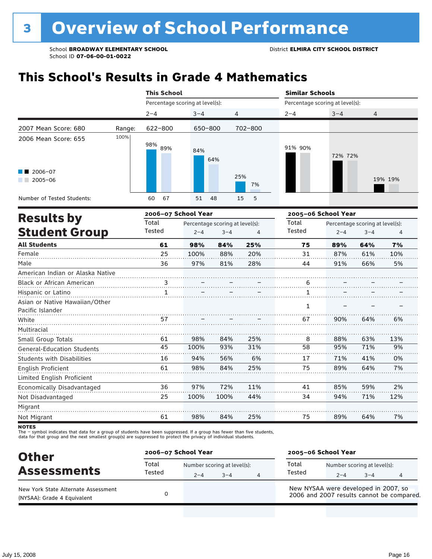## **This School's Results in Grade 4 Mathematics**

|                                                    |        | <b>This School</b>              |         |                                 |                | <b>Similar Schools</b>          |                     |                                 |         |
|----------------------------------------------------|--------|---------------------------------|---------|---------------------------------|----------------|---------------------------------|---------------------|---------------------------------|---------|
|                                                    |        | Percentage scoring at level(s): |         |                                 |                | Percentage scoring at level(s): |                     |                                 |         |
|                                                    |        | $2 - 4$                         | $3 - 4$ | 4                               |                | $2 - 4$                         | $3 - 4$             | $\overline{4}$                  |         |
| 2007 Mean Score: 680                               | Range: | $622 - 800$                     | 650-800 |                                 | $702 - 800$    |                                 |                     |                                 |         |
| 2006 Mean Score: 655                               | 100%   | 98%<br>89%                      | 84%     | 64%                             |                | 91% 90%                         | 72% 72%             |                                 |         |
| 2006-07<br>$2005 - 06$                             |        |                                 |         |                                 | 25%<br>7%      |                                 |                     |                                 | 19% 19% |
| Number of Tested Students:                         |        | 60<br>67                        | 51      | 48                              | 5<br>15        |                                 |                     |                                 |         |
| <b>Results by</b>                                  |        | 2006-07 School Year             |         |                                 |                |                                 | 2005-06 School Year |                                 |         |
|                                                    |        | Total                           |         | Percentage scoring at level(s): |                | Total                           |                     | Percentage scoring at level(s): |         |
| <b>Student Group</b>                               |        | Tested                          | $2 - 4$ | $3 - 4$                         | $\overline{4}$ | Tested                          | $2 - 4$             | $3 - 4$                         | 4       |
| <b>All Students</b>                                |        | 61                              | 98%     | 84%                             | 25%            | 75                              | 89%                 | 64%                             | 7%      |
| Female                                             |        | 25                              | 100%    | 88%                             | 20%            | 31                              | 87%                 | 61%                             | 10%     |
| Male                                               |        | 36                              | 97%     | 81%                             | 28%            | 44                              | 91%                 | 66%                             | 5%      |
| American Indian or Alaska Native                   |        |                                 |         |                                 |                |                                 |                     |                                 |         |
| Black or African American                          |        | $\frac{3}{11}$                  |         |                                 |                | $\overline{6}$                  |                     |                                 |         |
| Hispanic or Latino                                 |        | 1                               |         |                                 |                | 1                               |                     |                                 |         |
| Asian or Native Hawaiian/Other<br>Pacific Islander |        |                                 |         |                                 |                | $\mathbf{1}$                    |                     |                                 |         |
| White                                              |        | 57                              |         |                                 |                | 67                              | 90%                 | 64%                             | 6%      |
| Multiracial                                        |        |                                 |         |                                 |                |                                 |                     |                                 |         |
| Small Group Totals                                 |        | 61                              | 98%     | 84%                             | 25%            | 8                               | 88%                 | 63%                             | 13%     |
| <b>General-Education Students</b>                  |        | 45                              | 100%    | 93%                             | 31%            | $\overline{58}$                 | 95%                 | 71%                             | 9%      |
| <b>Students with Disabilities</b>                  |        | 16                              | 94%     | 56%                             | 6%             | 17                              | 71%                 | 41%                             | 0%      |
| English Proficient                                 |        | 61                              | 98%     | 84%                             | 25%            | 75                              | 89%                 | 64%                             | 7%      |
| Limited English Proficient                         |        |                                 |         |                                 |                |                                 |                     |                                 |         |
| Economically Disadvantaged                         |        | 36                              | 97%     | 72%                             | 11%            | 41                              | 85%                 | 59%                             | 2%      |
| Not Disadvantaged                                  |        | 25                              | 100%    | 100%                            | 44%            | 34                              | 94%                 | 71%                             | 12%     |
| Migrant                                            |        |                                 |         |                                 |                |                                 |                     |                                 |         |

**NOTES** 

Not Migrant

The – symbol indicates that data for a group of students have been suppressed. If a group has fewer than five students,<br>data for that group and the next smallest group(s) are suppressed to protect the privacy of individual

61

| <b>Other</b>                                                       | 2006-07 School Year |         |                                        |   | 2005-06 School Year                  |         |                                        |                                           |  |
|--------------------------------------------------------------------|---------------------|---------|----------------------------------------|---|--------------------------------------|---------|----------------------------------------|-------------------------------------------|--|
| <b>Assessments</b>                                                 | Total<br>Tested     | $2 - 4$ | Number scoring at level(s):<br>$3 - 4$ | 4 | Total<br>Tested                      | $2 - 4$ | Number scoring at level(s):<br>$3 - 4$ |                                           |  |
| New York State Alternate Assessment<br>(NYSAA): Grade 4 Equivalent |                     |         |                                        |   | New NYSAA were developed in 2007, so |         |                                        | 2006 and 2007 results cannot be compared. |  |

84%

25%

75

89%

64%

98%

7%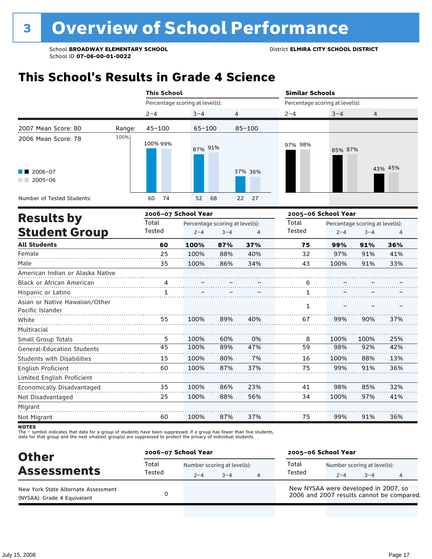### **This School's Results in Grade 4 Science**

|                                                                  |        | <b>This School</b>  |                                 |                       | <b>Similar Schools</b>          |                                 |              |  |  |  |
|------------------------------------------------------------------|--------|---------------------|---------------------------------|-----------------------|---------------------------------|---------------------------------|--------------|--|--|--|
|                                                                  |        |                     | Percentage scoring at level(s): |                       | Percentage scoring at level(s): |                                 |              |  |  |  |
|                                                                  |        | $2 - 4$             | $3 - 4$                         | 4                     | $2 - 4$                         | $3 - 4$                         | 4            |  |  |  |
| 2007 Mean Score: 80                                              | Range: | $45 - 100$          | $65 - 100$                      | $85 - 100$            |                                 |                                 |              |  |  |  |
| 2006 Mean Score: 78<br>2006-07<br>and the control<br>$2005 - 06$ | 100%   | 100% 99%            | 87% 91%                         | 37% 36%               | 97% 98%                         | 85% 87%                         | 43% 45%      |  |  |  |
| Number of Tested Students:                                       |        | 74<br>60            | 52<br>68                        | 22 <sub>2</sub><br>27 |                                 |                                 |              |  |  |  |
|                                                                  |        | 2006-07 School Year |                                 |                       |                                 | 2005-06 School Year             |              |  |  |  |
| <b>Results by</b>                                                |        | Total               | Percentage scoring at level(s): |                       | Total                           | Percentage scoring at level(s): |              |  |  |  |
| <b>Student Group</b>                                             |        | Tested              | $2 - 4$                         | $3 - 4$<br>4          | Tested                          | $2 - 4$                         | $3 - 4$<br>4 |  |  |  |

| <b>All Students</b>                                | 60 | 100% | 87% | 37% | 75 | 99%  | 91%  | 36% |
|----------------------------------------------------|----|------|-----|-----|----|------|------|-----|
| Female                                             | 25 | 100% | 88% | 40% | 32 | 97%  | 91%  | 41% |
| Male                                               | 35 | 100% | 86% | 34% | 43 | 100% | 91%  | 33% |
| American Indian or Alaska Native                   |    |      |     |     |    |      |      |     |
| Black or African American                          | 4  |      |     |     | 6  |      |      |     |
| Hispanic or Latino                                 |    |      |     |     |    |      |      |     |
| Asian or Native Hawaiian/Other<br>Pacific Islander |    |      |     |     | 1  |      |      |     |
| White                                              | 55 | 100% | 89% | 40% | 67 | 99%  | 90%  | 37% |
| Multiracial                                        |    |      |     |     |    |      |      |     |
| Small Group Totals                                 | 5  | 100% | 60% | 0%  | 8  | 100% | 100% | 25% |
| General-Education Students                         | 45 | 100% | 89% | 47% | 59 | 98%  | 92%  | 42% |
| <b>Students with Disabilities</b>                  | 15 | 100% | 80% | 7%  | 16 | 100% | 88%  | 13% |
| English Proficient                                 | 60 | 100% | 87% | 37% | 75 | 99%  | 91%  | 36% |
| Limited English Proficient                         |    |      |     |     |    |      |      |     |
| Economically Disadvantaged                         | 35 | 100% | 86% | 23% | 41 | 98%  | 85%  | 32% |
| Not Disadvantaged                                  | 25 | 100% | 88% | 56% | 34 | 100% | 97%  | 41% |
| Migrant                                            |    |      |     |     |    |      |      |     |
| Not Migrant                                        | 60 | 100% | 87% | 37% | 75 | 99%  | 91%  | 36% |

**NOTES** 

The – symbol indicates that data for a group of students have been suppressed. If a group has fewer than five students,<br>data for that group and the next smallest group(s) are suppressed to protect the privacy of individual

| <b>Other</b>                                                       | 2006-07 School Year |         |                                     |   | 2005-06 School Year                  |         |                                        |                                           |  |
|--------------------------------------------------------------------|---------------------|---------|-------------------------------------|---|--------------------------------------|---------|----------------------------------------|-------------------------------------------|--|
| <b>Assessments</b>                                                 | Total<br>Tested     | $2 - 4$ | Number scoring at level(s):<br>$-4$ | 4 | Total<br>Tested                      | $2 - 4$ | Number scoring at level(s):<br>$3 - 4$ |                                           |  |
| New York State Alternate Assessment<br>(NYSAA): Grade 4 Equivalent |                     |         |                                     |   | New NYSAA were developed in 2007, so |         |                                        | 2006 and 2007 results cannot be compared. |  |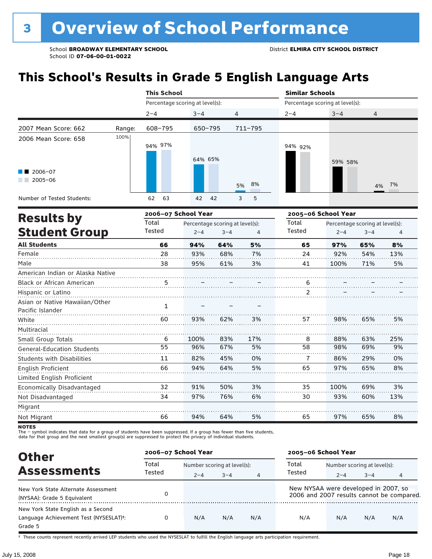# **This School's Results in Grade 5 English Language Arts**

|                                    |        | <b>This School</b>              |                                 |            |    |         | <b>Similar Schools</b> |                                 |                                 |                |  |  |
|------------------------------------|--------|---------------------------------|---------------------------------|------------|----|---------|------------------------|---------------------------------|---------------------------------|----------------|--|--|
|                                    |        | Percentage scoring at level(s): |                                 |            |    |         |                        | Percentage scoring at level(s): |                                 |                |  |  |
|                                    |        | $2 - 4$                         | $3 - 4$                         |            | 4  |         | $2 - 4$                | $3 - 4$                         | 4                               |                |  |  |
| 2007 Mean Score: 662               | Range: | 608-795                         | 650-795                         |            |    | 711-795 |                        |                                 |                                 |                |  |  |
| 2006 Mean Score: 658               | 100%   | 94% 97%                         | 64% 65%                         |            |    |         | 94% 92%                | 59% 58%                         |                                 |                |  |  |
| 2006-07<br>$2005 - 06$             |        |                                 |                                 |            | 5% | 8%      |                        |                                 | 4%                              | 7%             |  |  |
| Number of Tested Students:         |        | 63<br>62                        | 42                              | 42         | 3  | 5       |                        |                                 |                                 |                |  |  |
|                                    |        | 2006-07 School Year             |                                 |            |    |         |                        | 2005-06 School Year             |                                 |                |  |  |
| <b>Results by</b>                  |        | Total                           | Percentage scoring at level(s): |            |    |         | Total                  |                                 | Percentage scoring at level(s): |                |  |  |
| <b>Student Group</b>               |        | Tested                          | $2 - 4$                         | $3 - 4$    |    | 4       | Tested                 | $2 - 4$                         | $3 - 4$                         | $\overline{4}$ |  |  |
| <b>All Students</b>                |        | 66                              | 94%                             | 64%        |    | 5%      | 65                     | 97%                             | 65%                             | 8%             |  |  |
| $F \circ \neg \neg \neg \neg \neg$ |        | າດ                              | nnn/                            | $C$ $0.01$ |    | 70/     | $\Omega$               | 0.201                           | $E$ A $0$ /                     | 1.201          |  |  |

| Female                            | 28 | 93%  | 68% | 7%  | 24 | 92%  | 54% | 13% |
|-----------------------------------|----|------|-----|-----|----|------|-----|-----|
| Male                              | 38 | 95%  | 61% | 3%  | 41 | 100% | 71% | 5%  |
| American Indian or Alaska Native  |    |      |     |     |    |      |     |     |
| Black or African American         |    |      |     |     | ь  |      |     |     |
| Hispanic or Latino                |    |      |     |     |    |      |     |     |
| Asian or Native Hawaiian/Other    | 1  |      |     |     |    |      |     |     |
| Pacific Islander                  |    |      |     |     |    |      |     |     |
| White                             | 60 | 93%  | 62% | 3%  | 57 | 98%  | 65% | 5%  |
| Multiracial                       |    |      |     |     |    |      |     |     |
| Small Group Totals                | 6  | 100% | 83% | 17% | 8  | 88%  | 63% | 25% |
| <b>General-Education Students</b> | 55 | 96%  | 67% | 5%  | 58 | 98%  | 69% | 9%  |
| <b>Students with Disabilities</b> | 11 | 82%  | 45% | 0%  | 7  | 86%  | 29% | 0%  |
| English Proficient                | 66 | 94%  | 64% | 5%  | 65 | 97%  | 65% | 8%  |
| Limited English Proficient        |    |      |     |     |    |      |     |     |
| Economically Disadvantaged        | 32 | 91%  | 50% | 3%  | 35 | 100% | 69% | 3%  |
| Not Disadvantaged                 | 34 | 97%  | 76% | 6%  | 30 | 93%  | 60% | 13% |
| Migrant                           |    |      |     |     |    |      |     |     |
| Not Migrant                       | 66 | 94%  | 64% | 5%  | 65 | 97%  | 65% | 8%  |

**NOTES** 

The – symbol indicates that data for a group of students have been suppressed. If a group has fewer than five students,<br>data for that group and the next smallest group(s) are suppressed to protect the privacy of individual

| <b>Other</b>                                        | 2006-07 School Year |                             |         |                | 2005-06 School Year                  |                             |         |                                           |  |
|-----------------------------------------------------|---------------------|-----------------------------|---------|----------------|--------------------------------------|-----------------------------|---------|-------------------------------------------|--|
|                                                     | Total               | Number scoring at level(s): |         |                | Total                                | Number scoring at level(s): |         |                                           |  |
| <b>Assessments</b>                                  | Tested              | $2 - 4$                     | $3 - 4$ | $\overline{4}$ | Tested                               | $2 - 4$                     | $3 - 4$ | 4                                         |  |
| New York State Alternate Assessment                 |                     |                             |         |                | New NYSAA were developed in 2007, so |                             |         | 2006 and 2007 results cannot be compared. |  |
| (NYSAA): Grade 5 Equivalent                         |                     |                             |         |                |                                      |                             |         |                                           |  |
| New York State English as a Second                  |                     |                             |         |                |                                      |                             |         |                                           |  |
| Language Achievement Test (NYSESLAT) <sup>+</sup> : |                     | N/A                         | N/A     | N/A            | N/A                                  | N/A                         | N/A     | N/A                                       |  |
| Grade 5                                             |                     |                             |         |                |                                      |                             |         |                                           |  |

† These counts represent recently arrived LEP students who used the NYSESLAT to fulfill the English language arts participation requirement.